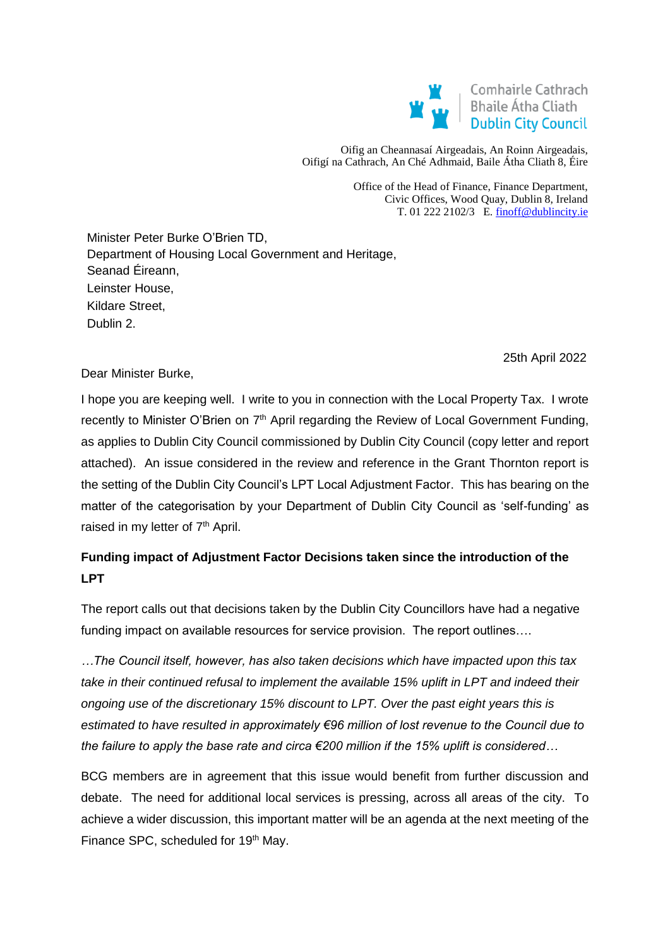

Oifig an Cheannasaí Airgeadais, An Roinn Airgeadais, Oifigí na Cathrach, An Ché Adhmaid, Baile Átha Cliath 8, Éire

> Office of the Head of Finance, Finance Department, Civic Offices, Wood Quay, Dublin 8, Ireland T. 01 222 2102/3 E[. finoff@dublincity.ie](mailto:finoff@dublincity.ie)

Minister Peter Burke O'Brien TD, Department of Housing Local Government and Heritage, Seanad Éireann, 2. Leinster House, Kildare Street. Dublin 2.

25th April 2022

Dear Minister Burke,

I hope you are keeping well. I write to you in connection with the Local Property Tax. I wrote recently to Minister O'Brien on 7<sup>th</sup> April regarding the Review of Local Government Funding, as applies to Dublin City Council commissioned by Dublin City Council (copy letter and report attached). An issue considered in the review and reference in the Grant Thornton report is the setting of the Dublin City Council's LPT Local Adjustment Factor. This has bearing on the matter of the categorisation by your Department of Dublin City Council as 'self-funding' as raised in my letter of  $7<sup>th</sup>$  April.

# **Funding impact of Adjustment Factor Decisions taken since the introduction of the LPT**

The report calls out that decisions taken by the Dublin City Councillors have had a negative funding impact on available resources for service provision. The report outlines….

*…The Council itself, however, has also taken decisions which have impacted upon this tax take in their continued refusal to implement the available 15% uplift in LPT and indeed their ongoing use of the discretionary 15% discount to LPT. Over the past eight years this is estimated to have resulted in approximately €96 million of lost revenue to the Council due to the failure to apply the base rate and circa €200 million if the 15% uplift is considered…*

BCG members are in agreement that this issue would benefit from further discussion and debate. The need for additional local services is pressing, across all areas of the city. To achieve a wider discussion, this important matter will be an agenda at the next meeting of the Finance SPC, scheduled for 19<sup>th</sup> May.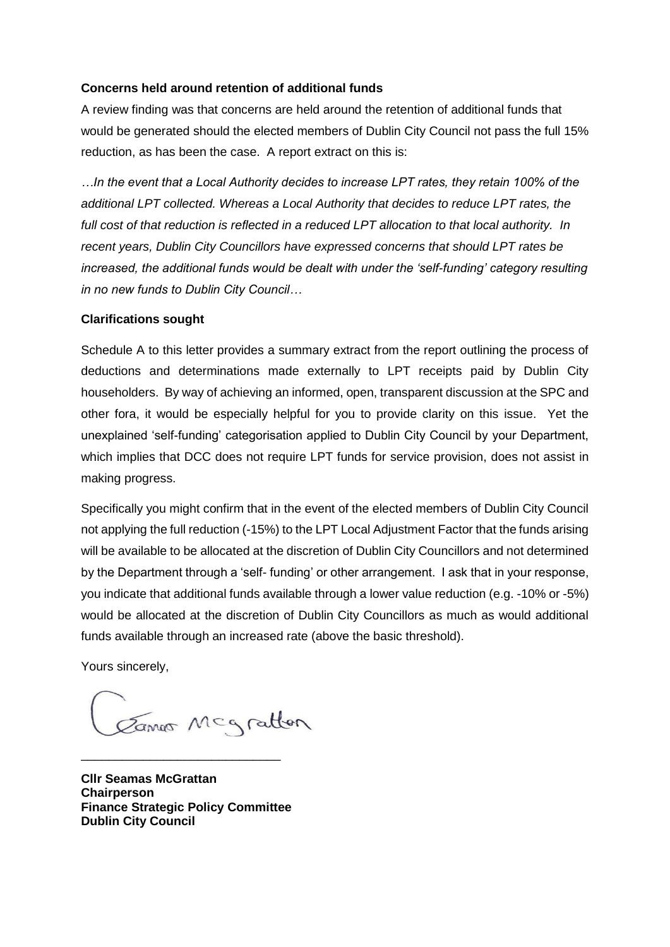#### **Concerns held around retention of additional funds**

A review finding was that concerns are held around the retention of additional funds that would be generated should the elected members of Dublin City Council not pass the full 15% reduction, as has been the case. A report extract on this is:

*…In the event that a Local Authority decides to increase LPT rates, they retain 100% of the additional LPT collected. Whereas a Local Authority that decides to reduce LPT rates, the full cost of that reduction is reflected in a reduced LPT allocation to that local authority. In recent years, Dublin City Councillors have expressed concerns that should LPT rates be increased, the additional funds would be dealt with under the 'self-funding' category resulting in no new funds to Dublin City Council…*

#### **Clarifications sought**

Schedule A to this letter provides a summary extract from the report outlining the process of deductions and determinations made externally to LPT receipts paid by Dublin City householders. By way of achieving an informed, open, transparent discussion at the SPC and other fora, it would be especially helpful for you to provide clarity on this issue. Yet the unexplained 'self-funding' categorisation applied to Dublin City Council by your Department, which implies that DCC does not require LPT funds for service provision, does not assist in making progress.

Specifically you might confirm that in the event of the elected members of Dublin City Council not applying the full reduction (-15%) to the LPT Local Adjustment Factor that the funds arising will be available to be allocated at the discretion of Dublin City Councillors and not determined by the Department through a 'self- funding' or other arrangement. I ask that in your response, you indicate that additional funds available through a lower value reduction (e.g. -10% or -5%) would be allocated at the discretion of Dublin City Councillors as much as would additional funds available through an increased rate (above the basic threshold).

Yours sincerely,

Canos Mcgratton

**Cllr Seamas McGrattan Chairperson Finance Strategic Policy Committee Dublin City Council**

\_\_\_\_\_\_\_\_\_\_\_\_\_\_\_\_\_\_\_\_\_\_\_\_\_\_\_\_\_